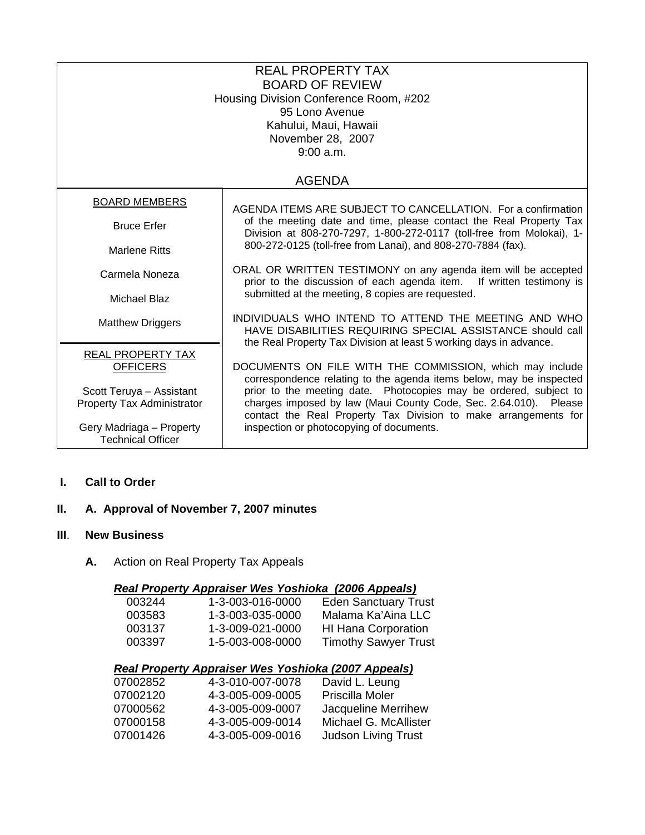| <b>REAL PROPERTY TAX</b><br><b>BOARD OF REVIEW</b><br>Housing Division Conference Room, #202<br>95 Lono Avenue<br>Kahului, Maui, Hawaii<br>November 28, 2007<br>9:00 a.m. |                                                                                                                                                                                                                                                                                                                                                                                           |  |
|---------------------------------------------------------------------------------------------------------------------------------------------------------------------------|-------------------------------------------------------------------------------------------------------------------------------------------------------------------------------------------------------------------------------------------------------------------------------------------------------------------------------------------------------------------------------------------|--|
| <b>AGENDA</b>                                                                                                                                                             |                                                                                                                                                                                                                                                                                                                                                                                           |  |
| <b>BOARD MEMBERS</b>                                                                                                                                                      | AGENDA ITEMS ARE SUBJECT TO CANCELLATION. For a confirmation                                                                                                                                                                                                                                                                                                                              |  |
| <b>Bruce Erfer</b>                                                                                                                                                        | of the meeting date and time, please contact the Real Property Tax<br>Division at 808-270-7297, 1-800-272-0117 (toll-free from Molokai), 1-                                                                                                                                                                                                                                               |  |
| <b>Marlene Ritts</b>                                                                                                                                                      | 800-272-0125 (toll-free from Lanai), and 808-270-7884 (fax).                                                                                                                                                                                                                                                                                                                              |  |
| Carmela Noneza                                                                                                                                                            | ORAL OR WRITTEN TESTIMONY on any agenda item will be accepted<br>prior to the discussion of each agenda item.<br>If written testimony is<br>submitted at the meeting, 8 copies are requested.<br>INDIVIDUALS WHO INTEND TO ATTEND THE MEETING AND WHO<br>HAVE DISABILITIES REQUIRING SPECIAL ASSISTANCE should call<br>the Real Property Tax Division at least 5 working days in advance. |  |
| <b>Michael Blaz</b>                                                                                                                                                       |                                                                                                                                                                                                                                                                                                                                                                                           |  |
| <b>Matthew Driggers</b>                                                                                                                                                   |                                                                                                                                                                                                                                                                                                                                                                                           |  |
| <b>REAL PROPERTY TAX</b><br><b>OFFICERS</b>                                                                                                                               | DOCUMENTS ON FILE WITH THE COMMISSION, which may include                                                                                                                                                                                                                                                                                                                                  |  |
| Scott Teruya - Assistant<br>Property Tax Administrator                                                                                                                    | correspondence relating to the agenda items below, may be inspected<br>prior to the meeting date. Photocopies may be ordered, subject to<br>charges imposed by law (Maui County Code, Sec. 2.64.010). Please<br>contact the Real Property Tax Division to make arrangements for                                                                                                           |  |
| Gery Madriaga - Property<br><b>Technical Officer</b>                                                                                                                      | inspection or photocopying of documents.                                                                                                                                                                                                                                                                                                                                                  |  |

#### **I. Call to Order**

## **II. A. Approval of November 7, 2007 minutes**

# **III**. **New Business**

**A.** Action on Real Property Tax Appeals

## *Real Property Appraiser Wes Yoshioka (2006 Appeals)*

|                                                            | 003244 | 1-3-003-016-0000 | <b>Eden Sanctuary Trust</b> |
|------------------------------------------------------------|--------|------------------|-----------------------------|
|                                                            | 003583 | 1-3-003-035-0000 | Malama Ka'Aina LLC          |
|                                                            | 003137 | 1-3-009-021-0000 | <b>HI Hana Corporation</b>  |
|                                                            | 003397 | 1-5-003-008-0000 | <b>Timothy Sawyer Trust</b> |
|                                                            |        |                  |                             |
| <b>Real Property Appraiser Wes Yoshioka (2007 Appeals)</b> |        |                  |                             |

| 07002852 | 4-3-010-007-0078 | David L. Leung             |
|----------|------------------|----------------------------|
| 07002120 | 4-3-005-009-0005 | Priscilla Moler            |
| 07000562 | 4-3-005-009-0007 | Jacqueline Merrihew        |
| 07000158 | 4-3-005-009-0014 | Michael G. McAllister      |
| 07001426 | 4-3-005-009-0016 | <b>Judson Living Trust</b> |
|          |                  |                            |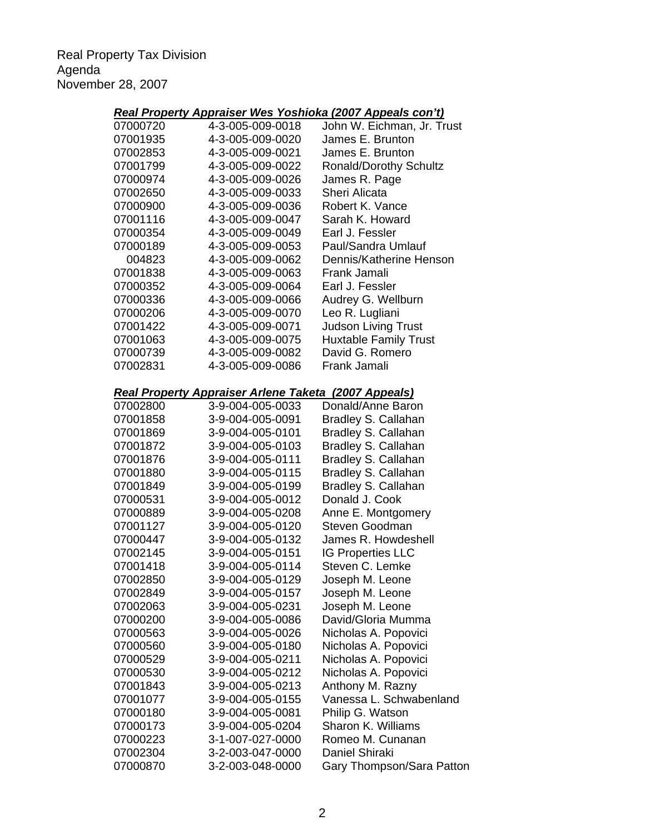Real Property Tax Division Agenda November 28, 2007

|                      |                                                                                 | Real Property Appraiser Wes Yoshioka (2007 Appeals con't) |
|----------------------|---------------------------------------------------------------------------------|-----------------------------------------------------------|
| 07000720             | 4-3-005-009-0018                                                                | John W. Eichman, Jr. Trust                                |
| 07001935             | 4-3-005-009-0020                                                                | James E. Brunton                                          |
| 07002853             | 4-3-005-009-0021                                                                | James E. Brunton                                          |
| 07001799             | 4-3-005-009-0022                                                                | <b>Ronald/Dorothy Schultz</b>                             |
| 07000974             | 4-3-005-009-0026                                                                | James R. Page                                             |
| 07002650             | 4-3-005-009-0033                                                                | Sheri Alicata                                             |
| 07000900             | 4-3-005-009-0036                                                                | Robert K. Vance                                           |
| 07001116             | 4-3-005-009-0047                                                                | Sarah K. Howard                                           |
| 07000354             | 4-3-005-009-0049                                                                | Earl J. Fessler                                           |
| 07000189             | 4-3-005-009-0053                                                                | Paul/Sandra Umlauf                                        |
| 004823               | 4-3-005-009-0062                                                                | Dennis/Katherine Henson                                   |
| 07001838             | 4-3-005-009-0063                                                                | Frank Jamali                                              |
| 07000352             | 4-3-005-009-0064                                                                | Earl J. Fessler                                           |
| 07000336             | 4-3-005-009-0066                                                                | Audrey G. Wellburn                                        |
| 07000206             | 4-3-005-009-0070                                                                | Leo R. Lugliani                                           |
| 07001422             | 4-3-005-009-0071                                                                | <b>Judson Living Trust</b>                                |
| 07001063             | 4-3-005-009-0075                                                                | <b>Huxtable Family Trust</b>                              |
| 07000739             | 4-3-005-009-0082                                                                | David G. Romero                                           |
| 07002831             | 4-3-005-009-0086                                                                | Frank Jamali                                              |
|                      |                                                                                 |                                                           |
| 07002800             | <b>Real Property Appraiser Arlene Taketa (2007 Appeals)</b><br>3-9-004-005-0033 | Donald/Anne Baron                                         |
| 07001858             | 3-9-004-005-0091                                                                |                                                           |
|                      |                                                                                 | Bradley S. Callahan                                       |
| 07001869<br>07001872 | 3-9-004-005-0101                                                                | Bradley S. Callahan                                       |
|                      | 3-9-004-005-0103                                                                | Bradley S. Callahan                                       |
| 07001876             | 3-9-004-005-0111                                                                | Bradley S. Callahan                                       |
| 07001880             | 3-9-004-005-0115                                                                | Bradley S. Callahan                                       |
| 07001849             | 3-9-004-005-0199                                                                | Bradley S. Callahan                                       |
| 07000531             | 3-9-004-005-0012                                                                | Donald J. Cook                                            |
| 07000889             | 3-9-004-005-0208                                                                | Anne E. Montgomery                                        |
| 07001127             | 3-9-004-005-0120                                                                | Steven Goodman                                            |
| 07000447             | 3-9-004-005-0132                                                                | James R. Howdeshell                                       |
| 07002145             | 3-9-004-005-0151                                                                | <b>IG Properties LLC</b>                                  |
| 07001418             | 3-9-004-005-0114                                                                | Steven C. Lemke                                           |
| 07002850             | 3-9-004-005-0129                                                                | Joseph M. Leone                                           |
| 07002849             | 3-9-004-005-0157                                                                | Joseph M. Leone                                           |
| 07002063             | 3-9-004-005-0231                                                                | Joseph M. Leone                                           |
| 07000200             | 3-9-004-005-0086                                                                | David/Gloria Mumma                                        |
| 07000563             | 3-9-004-005-0026                                                                | Nicholas A. Popovici                                      |
| 07000560             | 3-9-004-005-0180                                                                | Nicholas A. Popovici                                      |
| 07000529             | 3-9-004-005-0211                                                                | Nicholas A. Popovici                                      |
| 07000530             | 3-9-004-005-0212                                                                | Nicholas A. Popovici                                      |
| 07001843             | 3-9-004-005-0213                                                                | Anthony M. Razny                                          |
| 07001077             | 3-9-004-005-0155                                                                | Vanessa L. Schwabenland                                   |
| 07000180             | 3-9-004-005-0081                                                                | Philip G. Watson                                          |
| 07000173             | 3-9-004-005-0204                                                                | Sharon K. Williams                                        |
| 07000223             | 3-1-007-027-0000                                                                | Romeo M. Cunanan                                          |
| 07002304             | 3-2-003-047-0000                                                                | Daniel Shiraki                                            |
| 07000870             | 3-2-003-048-0000                                                                | Gary Thompson/Sara Patton                                 |